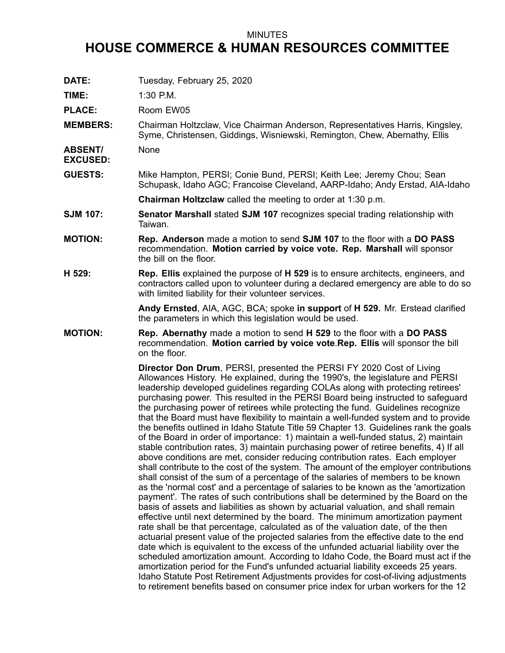## MINUTES

## **HOUSE COMMERCE & HUMAN RESOURCES COMMITTEE**

**DATE:** Tuesday, February 25, 2020

**TIME:** 1:30 P.M.

PLACE: Room EW05

**MEMBERS:** Chairman Holtzclaw, Vice Chairman Anderson, Representatives Harris, Kingsley, Syme, Christensen, Giddings, Wisniewski, Remington, Chew, Abernathy, Ellis

**ABSENT/** None

**EXCUSED:**

**GUESTS:** Mike Hampton, PERSI; Conie Bund, PERSI; Keith Lee; Jeremy Chou; Sean Schupask, Idaho AGC; Francoise Cleveland, AARP-Idaho; Andy Erstad, AIA-Idaho

**Chairman Holtzclaw** called the meeting to order at 1:30 p.m.

- **SJM 107: Senator Marshall** stated **SJM 107** recognizes special trading relationship with Taiwan.
- **MOTION: Rep. Anderson** made <sup>a</sup> motion to send **SJM 107** to the floor with <sup>a</sup> **DO PASS** recommendation. **Motion carried by voice vote. Rep. Marshall** will sponsor the bill on the floor.
- **H 529: Rep. Ellis** explained the purpose of **H 529** is to ensure architects, engineers, and contractors called upon to volunteer during <sup>a</sup> declared emergency are able to do so with limited liability for their volunteer services.

**Andy Ernsted**, AIA, AGC, BCA; spoke **in support** of **H 529.** Mr. Erstead clarified the parameters in which this legislation would be used.

## **MOTION: Rep. Abernathy** made <sup>a</sup> motion to send **H 529** to the floor with <sup>a</sup> **DO PASS** recommendation. **Motion carried by voice vote**.**Rep. Ellis** will sponsor the bill on the floor.

**Director Don Drum**, PERSI, presented the PERSI FY 2020 Cost of Living Allowances History. He explained, during the 1990's, the legislature and PERSI leadership developed guidelines regarding COLAs along with protecting retirees' purchasing power. This resulted in the PERSI Board being instructed to safeguard the purchasing power of retirees while protecting the fund. Guidelines recognize that the Board must have flexibility to maintain <sup>a</sup> well-funded system and to provide the benefits outlined in Idaho Statute Title 59 Chapter 13. Guidelines rank the goals of the Board in order of importance: 1) maintain <sup>a</sup> well-funded status, 2) maintain stable contribution rates, 3) maintain purchasing power of retiree benefits, 4) If all above conditions are met, consider reducing contribution rates. Each employer shall contribute to the cost of the system. The amount of the employer contributions shall consist of the sum of <sup>a</sup> percentage of the salaries of members to be known as the 'normal cost' and <sup>a</sup> percentage of salaries to be known as the 'amortization payment'. The rates of such contributions shall be determined by the Board on the basis of assets and liabilities as shown by actuarial valuation, and shall remain effective until next determined by the board. The minimum amortization payment rate shall be that percentage, calculated as of the valuation date, of the then actuarial present value of the projected salaries from the effective date to the end date which is equivalent to the excess of the unfunded actuarial liability over the scheduled amortization amount. According to Idaho Code, the Board must act if the amortization period for the Fund's unfunded actuarial liability exceeds 25 years. Idaho Statute Post Retirement Adjustments provides for cost-of-living adjustments to retirement benefits based on consumer price index for urban workers for the 12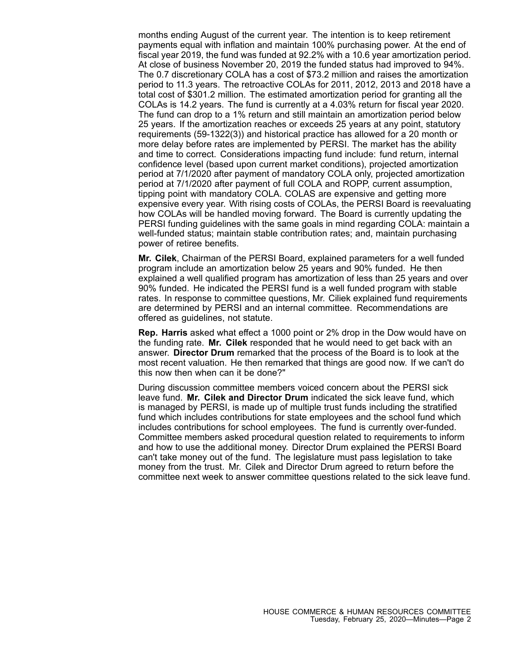months ending August of the current year. The intention is to keep retirement payments equal with inflation and maintain 100% purchasing power. At the end of fiscal year 2019, the fund was funded at 92.2% with <sup>a</sup> 10.6 year amortization period. At close of business November 20, 2019 the funded status had improved to 94%. The 0.7 discretionary COLA has <sup>a</sup> cost of \$73.2 million and raises the amortization period to 11.3 years. The retroactive COLAs for 2011, 2012, 2013 and 2018 have <sup>a</sup> total cost of \$301.2 million. The estimated amortization period for granting all the COLAs is 14.2 years. The fund is currently at <sup>a</sup> 4.03% return for fiscal year 2020. The fund can drop to <sup>a</sup> 1% return and still maintain an amortization period below 25 years. If the amortization reaches or exceeds 25 years at any point, statutory requirements (59-1322(3)) and historical practice has allowed for <sup>a</sup> 20 month or more delay before rates are implemented by PERSI. The market has the ability and time to correct. Considerations impacting fund include: fund return, internal confidence level (based upon current market conditions), projected amortization period at 7/1/2020 after payment of mandatory COLA only, projected amortization period at 7/1/2020 after payment of full COLA and ROPP, current assumption, tipping point with mandatory COLA. COLAS are expensive and getting more expensive every year. With rising costs of COLAs, the PERSI Board is reevaluating how COLAs will be handled moving forward. The Board is currently updating the PERSI funding guidelines with the same goals in mind regarding COLA: maintain <sup>a</sup> well-funded status; maintain stable contribution rates; and, maintain purchasing power of retiree benefits.

**Mr. Cilek**, Chairman of the PERSI Board, explained parameters for <sup>a</sup> well funded program include an amortization below 25 years and 90% funded. He then explained <sup>a</sup> well qualified program has amortization of less than 25 years and over 90% funded. He indicated the PERSI fund is <sup>a</sup> well funded program with stable rates. In response to committee questions, Mr. Ciliek explained fund requirements are determined by PERSI and an internal committee. Recommendations are offered as guidelines, not statute.

**Rep. Harris** asked what effect <sup>a</sup> 1000 point or 2% drop in the Dow would have on the funding rate. **Mr. Cilek** responded that he would need to get back with an answer. **Director Drum** remarked that the process of the Board is to look at the most recent valuation. He then remarked that things are good now. If we can't do this now then when can it be done?"

During discussion committee members voiced concern about the PERSI sick leave fund. **Mr. Cilek and Director Drum** indicated the sick leave fund, which is managed by PERSI, is made up of multiple trust funds including the stratified fund which includes contributions for state employees and the school fund which includes contributions for school employees. The fund is currently over-funded. Committee members asked procedural question related to requirements to inform and how to use the additional money. Director Drum explained the PERSI Board can't take money out of the fund. The legislature must pass legislation to take money from the trust. Mr. Cilek and Director Drum agreed to return before the committee next week to answer committee questions related to the sick leave fund.